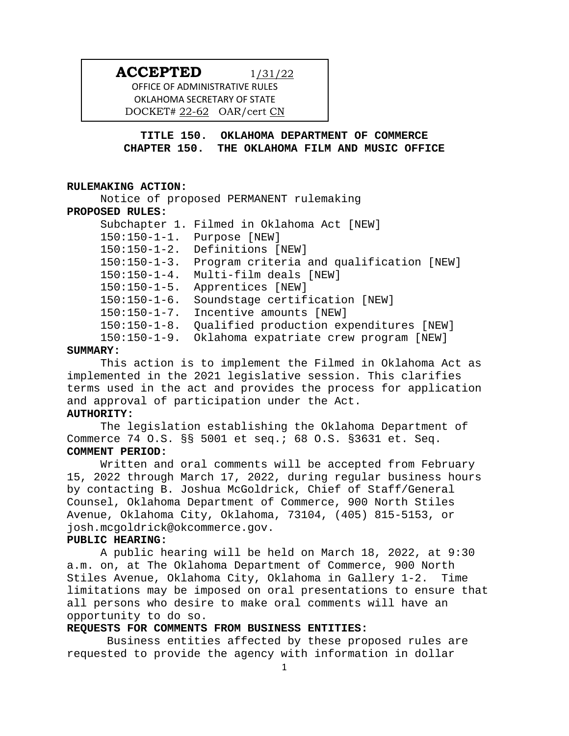# **ACCEPTED** 1/31/22

OFFICE OF ADMINISTRATIVE RULES OKLAHOMA SECRETARY OF STATE DOCKET# 22-62 OAR/cert CN

**TITLE 150. OKLAHOMA DEPARTMENT OF COMMERCE CHAPTER 150. THE OKLAHOMA FILM AND MUSIC OFFICE**

#### **RULEMAKING ACTION:**

Notice of proposed PERMANENT rulemaking **PROPOSED RULES:** Subchapter 1. Filmed in Oklahoma Act [NEW] 150:150-1-1. Purpose [NEW] 150:150-1-2. Definitions [NEW] 150:150-1-3. Program criteria and qualification [NEW] 150:150-1-4. Multi-film deals [NEW] 150:150-1-5. Apprentices [NEW] 150:150-1-6. Soundstage certification [NEW] 150:150-1-7. Incentive amounts [NEW] 150:150-1-8. Qualified production expenditures [NEW] 150:150-1-9. Oklahoma expatriate crew program [NEW]

#### **SUMMARY:**

This action is to implement the Filmed in Oklahoma Act as implemented in the 2021 legislative session. This clarifies terms used in the act and provides the process for application and approval of participation under the Act.

# **AUTHORITY:**

The legislation establishing the Oklahoma Department of Commerce 74 O.S. §§ 5001 et seq.; 68 O.S. §3631 et. Seq. **COMMENT PERIOD:**

Written and oral comments will be accepted from February 15, 2022 through March 17, 2022, during regular business hours by contacting B. Joshua McGoldrick, Chief of Staff/General Counsel, Oklahoma Department of Commerce, 900 North Stiles Avenue, Oklahoma City, Oklahoma, 73104, (405) 815-5153, or josh.mcgoldrick@okcommerce.gov.

#### **PUBLIC HEARING:**

A public hearing will be held on March 18, 2022, at 9:30 a.m. on, at The Oklahoma Department of Commerce, 900 North Stiles Avenue, Oklahoma City, Oklahoma in Gallery 1-2. Time limitations may be imposed on oral presentations to ensure that all persons who desire to make oral comments will have an opportunity to do so.

### **REQUESTS FOR COMMENTS FROM BUSINESS ENTITIES:**

Business entities affected by these proposed rules are requested to provide the agency with information in dollar